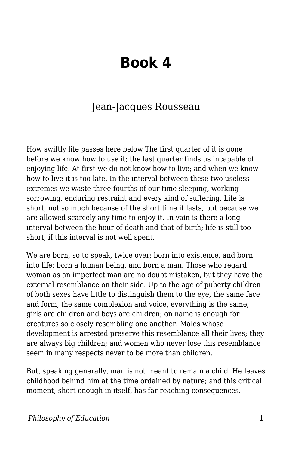## **Book 4**

## Jean-Jacques Rousseau

How swiftly life passes here below The first quarter of it is gone before we know how to use it; the last quarter finds us incapable of enjoying life. At first we do not know how to live; and when we know how to live it is too late. In the interval between these two useless extremes we waste three-fourths of our time sleeping, working sorrowing, enduring restraint and every kind of suffering. Life is short, not so much because of the short time it lasts, but because we are allowed scarcely any time to enjoy it. In vain is there a long interval between the hour of death and that of birth; life is still too short, if this interval is not well spent.

We are born, so to speak, twice over; born into existence, and born into life; born a human being, and born a man. Those who regard woman as an imperfect man are no doubt mistaken, but they have the external resemblance on their side. Up to the age of puberty children of both sexes have little to distinguish them to the eye, the same face and form, the same complexion and voice, everything is the same; girls are children and boys are children; on name is enough for creatures so closely resembling one another. Males whose development is arrested preserve this resemblance all their lives; they are always big children; and women who never lose this resemblance seem in many respects never to be more than children.

But, speaking generally, man is not meant to remain a child. He leaves childhood behind him at the time ordained by nature; and this critical moment, short enough in itself, has far-reaching consequences.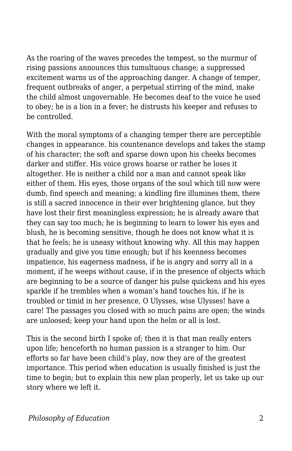As the roaring of the waves precedes the tempest, so the murmur of rising passions announces this tumultuous change; a suppressed excitement warns us of the approaching danger. A change of temper, frequent outbreaks of anger, a perpetual stirring of the mind, make the child almost ungovernable. He becomes deaf to the voice he used to obey; he is a lion in a fever; he distrusts his keeper and refuses to be controlled.

With the moral symptoms of a changing temper there are perceptible changes in appearance. his countenance develops and takes the stamp of his character; the soft and sparse down upon his cheeks becomes darker and stiffer. His voice grows hoarse or rather he loses it altogether. He is neither a child nor a man and cannot speak like either of them. His eyes, those organs of the soul which till now were dumb, find speech and meaning; a kindling fire illumines them, there is still a sacred innocence in their ever brightening glance, but they have lost their first meaningless expression; he is already aware that they can say too much; he is beginning to learn to lower his eyes and blush, he is becoming sensitive, though he does not know what it is that he feels; he is uneasy without knowing why. All this may happen gradually and give you time enough; but if his keenness becomes impatience, his eagerness madness, if he is angry and sorry all in a moment, if he weeps without cause, if in the presence of objects which are beginning to be a source of danger his pulse quickens and his eyes sparkle if he trembles when a woman's hand touches his, if he is troubled or timid in her presence, O Ulysses, wise Ulysses! have a care! The passages you closed with so much pains are open; the winds are unloosed; keep your hand upon the helm or all is lost.

This is the second birth I spoke of; then it is that man really enters upon life; henceforth no human passion is a stranger to him. Our efforts so far have been child's play, now they are of the greatest importance. This period when education is usually finished is just the time to begin; but to explain this new plan properly, let us take up our story where we left it.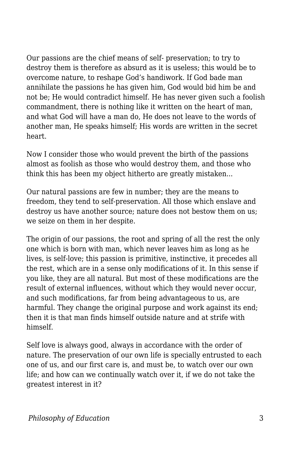Our passions are the chief means of self- preservation; to try to destroy them is therefore as absurd as it is useless; this would be to overcome nature, to reshape God's handiwork. If God bade man annihilate the passions he has given him, God would bid him be and not be; He would contradict himself. He has never given such a foolish commandment, there is nothing like it written on the heart of man, and what God will have a man do, He does not leave to the words of another man, He speaks himself; His words are written in the secret heart.

Now I consider those who would prevent the birth of the passions almost as foolish as those who would destroy them, and those who think this has been my object hitherto are greatly mistaken...

Our natural passions are few in number; they are the means to freedom, they tend to self-preservation. All those which enslave and destroy us have another source; nature does not bestow them on us; we seize on them in her despite.

The origin of our passions, the root and spring of all the rest the only one which is born with man, which never leaves him as long as he lives, is self-love; this passion is primitive, instinctive, it precedes all the rest, which are in a sense only modifications of it. In this sense if you like, they are all natural. But most of these modifications are the result of external influences, without which they would never occur, and such modifications, far from being advantageous to us, are harmful. They change the original purpose and work against its end; then it is that man finds himself outside nature and at strife with himself.

Self love is always good, always in accordance with the order of nature. The preservation of our own life is specially entrusted to each one of us, and our first care is, and must be, to watch over our own life; and how can we continually watch over it, if we do not take the greatest interest in it?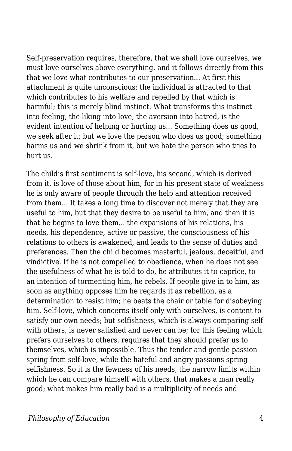Self-preservation requires, therefore, that we shall love ourselves, we must love ourselves above everything, and it follows directly from this that we love what contributes to our preservation... At first this attachment is quite unconscious; the individual is attracted to that which contributes to his welfare and repelled by that which is harmful; this is merely blind instinct. What transforms this instinct into feeling, the liking into love, the aversion into hatred, is the evident intention of helping or hurting us... Something does us good, we seek after it; but we love the person who does us good; something harms us and we shrink from it, but we hate the person who tries to hurt us.

The child's first sentiment is self-love, his second, which is derived from it, is love of those about him; for in his present state of weakness he is only aware of people through the help and attention received from them... It takes a long time to discover not merely that they are useful to him, but that they desire to be useful to him, and then it is that he begins to love them... the expansions of his relations, his needs, his dependence, active or passive, the consciousness of his relations to others is awakened, and leads to the sense of duties and preferences. Then the child becomes masterful, jealous, deceitful, and vindictive. If he is not compelled to obedience, when he does not see the usefulness of what he is told to do, he attributes it to caprice, to an intention of tormenting him, he rebels. If people give in to him, as soon as anything opposes him he regards it as rebellion, as a determination to resist him; he beats the chair or table for disobeying him. Self-love, which concerns itself only with ourselves, is content to satisfy our own needs; but selfishness, which is always comparing self with others, is never satisfied and never can be; for this feeling which prefers ourselves to others, requires that they should prefer us to themselves, which is impossible. Thus the tender and gentle passion spring from self-love, while the hateful and angry passions spring selfishness. So it is the fewness of his needs, the narrow limits within which he can compare himself with others, that makes a man really good; what makes him really bad is a multiplicity of needs and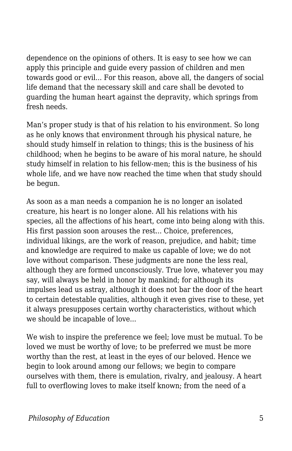dependence on the opinions of others. It is easy to see how we can apply this principle and guide every passion of children and men towards good or evil... For this reason, above all, the dangers of social life demand that the necessary skill and care shall be devoted to guarding the human heart against the depravity, which springs from fresh needs.

Man's proper study is that of his relation to his environment. So long as he only knows that environment through his physical nature, he should study himself in relation to things; this is the business of his childhood; when he begins to be aware of his moral nature, he should study himself in relation to his fellow-men; this is the business of his whole life, and we have now reached the time when that study should be begun.

As soon as a man needs a companion he is no longer an isolated creature, his heart is no longer alone. All his relations with his species, all the affections of his heart, come into being along with this. His first passion soon arouses the rest... Choice, preferences, individual likings, are the work of reason, prejudice, and habit; time and knowledge are required to make us capable of love; we do not love without comparison. These judgments are none the less real, although they are formed unconsciously. True love, whatever you may say, will always be held in honor by mankind; for although its impulses lead us astray, although it does not bar the door of the heart to certain detestable qualities, although it even gives rise to these, yet it always presupposes certain worthy characteristics, without which we should be incapable of love...

We wish to inspire the preference we feel; love must be mutual. To be loved we must be worthy of love; to be preferred we must be more worthy than the rest, at least in the eyes of our beloved. Hence we begin to look around among our fellows; we begin to compare ourselves with them, there is emulation, rivalry, and jealousy. A heart full to overflowing loves to make itself known; from the need of a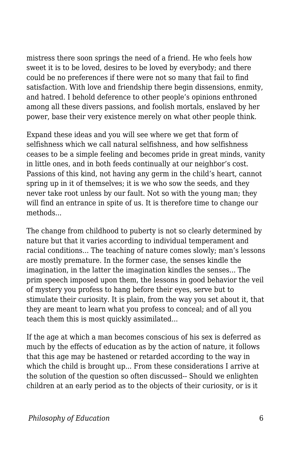mistress there soon springs the need of a friend. He who feels how sweet it is to be loved, desires to be loved by everybody; and there could be no preferences if there were not so many that fail to find satisfaction. With love and friendship there begin dissensions, enmity, and hatred. I behold deference to other people's opinions enthroned among all these divers passions, and foolish mortals, enslaved by her power, base their very existence merely on what other people think.

Expand these ideas and you will see where we get that form of selfishness which we call natural selfishness, and how selfishness ceases to be a simple feeling and becomes pride in great minds, vanity in little ones, and in both feeds continually at our neighbor's cost. Passions of this kind, not having any germ in the child's heart, cannot spring up in it of themselves; it is we who sow the seeds, and they never take root unless by our fault. Not so with the young man; they will find an entrance in spite of us. It is therefore time to change our methods...

The change from childhood to puberty is not so clearly determined by nature but that it varies according to individual temperament and racial conditions... The teaching of nature comes slowly; man's lessons are mostly premature. In the former case, the senses kindle the imagination, in the latter the imagination kindles the senses... The prim speech imposed upon them, the lessons in good behavior the veil of mystery you profess to hang before their eyes, serve but to stimulate their curiosity. It is plain, from the way you set about it, that they are meant to learn what you profess to conceal; and of all you teach them this is most quickly assimilated...

If the age at which a man becomes conscious of his sex is deferred as much by the effects of education as by the action of nature, it follows that this age may be hastened or retarded according to the way in which the child is brought up... From these considerations I arrive at the solution of the question so often discussed-- Should we enlighten children at an early period as to the objects of their curiosity, or is it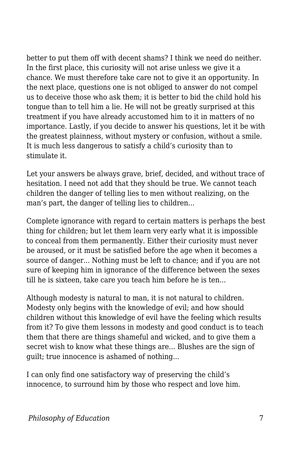better to put them off with decent shams? I think we need do neither. In the first place, this curiosity will not arise unless we give it a chance. We must therefore take care not to give it an opportunity. In the next place, questions one is not obliged to answer do not compel us to deceive those who ask them; it is better to bid the child hold his tongue than to tell him a lie. He will not be greatly surprised at this treatment if you have already accustomed him to it in matters of no importance. Lastly, if you decide to answer his questions, let it be with the greatest plainness, without mystery or confusion, without a smile. It is much less dangerous to satisfy a child's curiosity than to stimulate it.

Let your answers be always grave, brief, decided, and without trace of hesitation. I need not add that they should be true. We cannot teach children the danger of telling lies to men without realizing, on the man's part, the danger of telling lies to children...

Complete ignorance with regard to certain matters is perhaps the best thing for children; but let them learn very early what it is impossible to conceal from them permanently. Either their curiosity must never be aroused, or it must be satisfied before the age when it becomes a source of danger... Nothing must be left to chance; and if you are not sure of keeping him in ignorance of the difference between the sexes till he is sixteen, take care you teach him before he is ten...

Although modesty is natural to man, it is not natural to children. Modesty only begins with the knowledge of evil; and how should children without this knowledge of evil have the feeling which results from it? To give them lessons in modesty and good conduct is to teach them that there are things shameful and wicked, and to give them a secret wish to know what these things are... Blushes are the sign of guilt; true innocence is ashamed of nothing...

I can only find one satisfactory way of preserving the child's innocence, to surround him by those who respect and love him.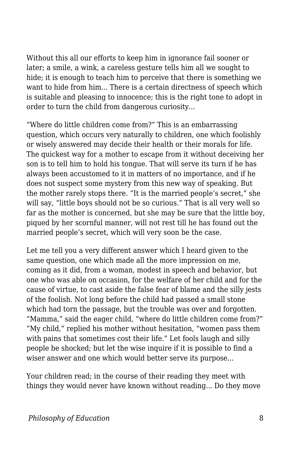Without this all our efforts to keep him in ignorance fail sooner or later; a smile, a wink, a careless gesture tells him all we sought to hide; it is enough to teach him to perceive that there is something we want to hide from him... There is a certain directness of speech which is suitable and pleasing to innocence; this is the right tone to adopt in order to turn the child from dangerous curiosity...

"Where do little children come from?" This is an embarrassing question, which occurs very naturally to children, one which foolishly or wisely answered may decide their health or their morals for life. The quickest way for a mother to escape from it without deceiving her son is to tell him to hold his tongue. That will serve its turn if he has always been accustomed to it in matters of no importance, and if he does not suspect some mystery from this new way of speaking. But the mother rarely stops there. "It is the married people's secret," she will say, "little boys should not be so curious." That is all very well so far as the mother is concerned, but she may be sure that the little boy, piqued by her scornful manner, will not rest till he has found out the married people's secret, which will very soon be the case.

Let me tell you a very different answer which I heard given to the same question, one which made all the more impression on me, coming as it did, from a woman, modest in speech and behavior, but one who was able on occasion, for the welfare of her child and for the cause of virtue, to cast aside the false fear of blame and the silly jests of the foolish. Not long before the child had passed a small stone which had torn the passage, but the trouble was over and forgotten. "Mamma," said the eager child, "where do little children come from?" "My child," replied his mother without hesitation, "women pass them with pains that sometimes cost their life." Let fools laugh and silly people be shocked; but let the wise inquire if it is possible to find a wiser answer and one which would better serve its purpose...

Your children read; in the course of their reading they meet with things they would never have known without reading... Do they move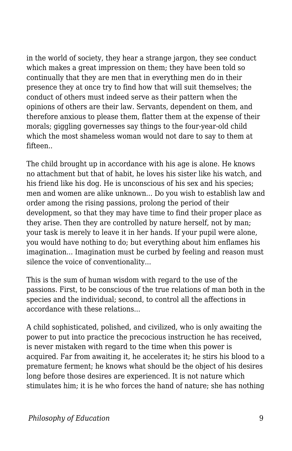in the world of society, they hear a strange jargon, they see conduct which makes a great impression on them; they have been told so continually that they are men that in everything men do in their presence they at once try to find how that will suit themselves; the conduct of others must indeed serve as their pattern when the opinions of others are their law. Servants, dependent on them, and therefore anxious to please them, flatter them at the expense of their morals; giggling governesses say things to the four-year-old child which the most shameless woman would not dare to say to them at fifteen..

The child brought up in accordance with his age is alone. He knows no attachment but that of habit, he loves his sister like his watch, and his friend like his dog. He is unconscious of his sex and his species; men and women are alike unknown... Do you wish to establish law and order among the rising passions, prolong the period of their development, so that they may have time to find their proper place as they arise. Then they are controlled by nature herself, not by man; your task is merely to leave it in her hands. If your pupil were alone, you would have nothing to do; but everything about him enflames his imagination... Imagination must be curbed by feeling and reason must silence the voice of conventionality...

This is the sum of human wisdom with regard to the use of the passions. First, to be conscious of the true relations of man both in the species and the individual; second, to control all the affections in accordance with these relations...

A child sophisticated, polished, and civilized, who is only awaiting the power to put into practice the precocious instruction he has received, is never mistaken with regard to the time when this power is acquired. Far from awaiting it, he accelerates it; he stirs his blood to a premature ferment; he knows what should be the object of his desires long before those desires are experienced. It is not nature which stimulates him; it is he who forces the hand of nature; she has nothing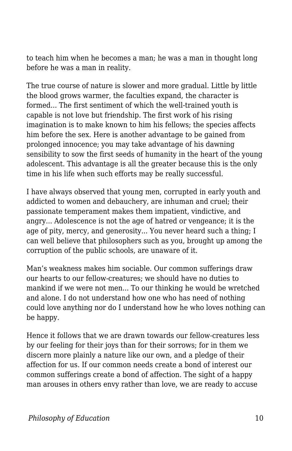to teach him when he becomes a man; he was a man in thought long before he was a man in reality.

The true course of nature is slower and more gradual. Little by little the blood grows warmer, the faculties expand, the character is formed... The first sentiment of which the well-trained youth is capable is not love but friendship. The first work of his rising imagination is to make known to him his fellows; the species affects him before the sex. Here is another advantage to be gained from prolonged innocence; you may take advantage of his dawning sensibility to sow the first seeds of humanity in the heart of the young adolescent. This advantage is all the greater because this is the only time in his life when such efforts may be really successful.

I have always observed that young men, corrupted in early youth and addicted to women and debauchery, are inhuman and cruel; their passionate temperament makes them impatient, vindictive, and angry... Adolescence is not the age of hatred or vengeance; it is the age of pity, mercy, and generosity... You never heard such a thing; I can well believe that philosophers such as you, brought up among the corruption of the public schools, are unaware of it.

Man's weakness makes him sociable. Our common sufferings draw our hearts to our fellow-creatures; we should have no duties to mankind if we were not men... To our thinking he would be wretched and alone. I do not understand how one who has need of nothing could love anything nor do I understand how he who loves nothing can be happy.

Hence it follows that we are drawn towards our fellow-creatures less by our feeling for their joys than for their sorrows; for in them we discern more plainly a nature like our own, and a pledge of their affection for us. If our common needs create a bond of interest our common sufferings create a bond of affection. The sight of a happy man arouses in others envy rather than love, we are ready to accuse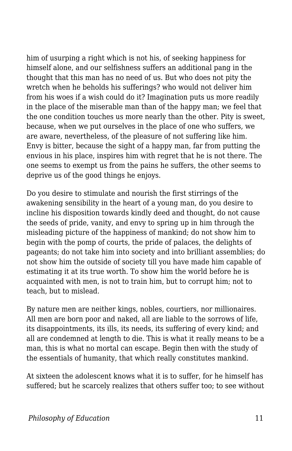him of usurping a right which is not his, of seeking happiness for himself alone, and our selfishness suffers an additional pang in the thought that this man has no need of us. But who does not pity the wretch when he beholds his sufferings? who would not deliver him from his woes if a wish could do it? Imagination puts us more readily in the place of the miserable man than of the happy man; we feel that the one condition touches us more nearly than the other. Pity is sweet, because, when we put ourselves in the place of one who suffers, we are aware, nevertheless, of the pleasure of not suffering like him. Envy is bitter, because the sight of a happy man, far from putting the envious in his place, inspires him with regret that he is not there. The one seems to exempt us from the pains he suffers, the other seems to deprive us of the good things he enjoys.

Do you desire to stimulate and nourish the first stirrings of the awakening sensibility in the heart of a young man, do you desire to incline his disposition towards kindly deed and thought, do not cause the seeds of pride, vanity, and envy to spring up in him through the misleading picture of the happiness of mankind; do not show him to begin with the pomp of courts, the pride of palaces, the delights of pageants; do not take him into society and into brilliant assemblies; do not show him the outside of society till you have made him capable of estimating it at its true worth. To show him the world before he is acquainted with men, is not to train him, but to corrupt him; not to teach, but to mislead.

By nature men are neither kings, nobles, courtiers, nor millionaires. All men are born poor and naked, all are liable to the sorrows of life, its disappointments, its ills, its needs, its suffering of every kind; and all are condemned at length to die. This is what it really means to be a man, this is what no mortal can escape. Begin then with the study of the essentials of humanity, that which really constitutes mankind.

At sixteen the adolescent knows what it is to suffer, for he himself has suffered; but he scarcely realizes that others suffer too; to see without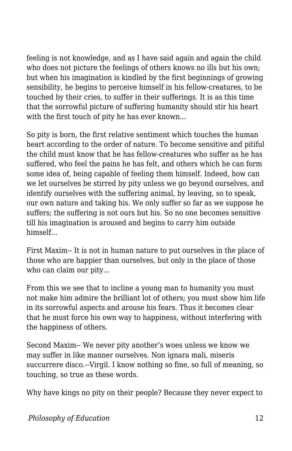feeling is not knowledge, and as I have said again and again the child who does not picture the feelings of others knows no ills but his own; but when his imagination is kindled by the first beginnings of growing sensibility, he begins to perceive himself in his fellow-creatures, to be touched by their cries, to suffer in their sufferings. It is as this time that the sorrowful picture of suffering humanity should stir his heart with the first touch of pity he has ever known...

So pity is born, the first relative sentiment which touches the human heart according to the order of nature. To become sensitive and pitiful the child must know that he has fellow-creatures who suffer as he has suffered, who feel the pains he has felt, and others which he can form some idea of, being capable of feeling them himself. Indeed, how can we let ourselves be stirred by pity unless we go beyond ourselves, and identify ourselves with the suffering animal, by leaving, so to speak, our own nature and taking his. We only suffer so far as we suppose he suffers; the suffering is not ours but his. So no one becomes sensitive till his imagination is aroused and begins to carry him outside himself...

First Maxim-- It is not in human nature to put ourselves in the place of those who are happier than ourselves, but only in the place of those who can claim our pity...

From this we see that to incline a young man to humanity you must not make him admire the brilliant lot of others; you must show him life in its sorrowful aspects and arouse his fears. Thus it becomes clear that he must force his own way to happiness, without interfering with the happiness of others.

Second Maxim-- We never pity another's woes unless we know we may suffer in like manner ourselves. Non ignara mali, miseris succurrere disco.--Virgil. I know nothing so fine, so full of meaning, so touching, so true as these words.

Why have kings no pity on their people? Because they never expect to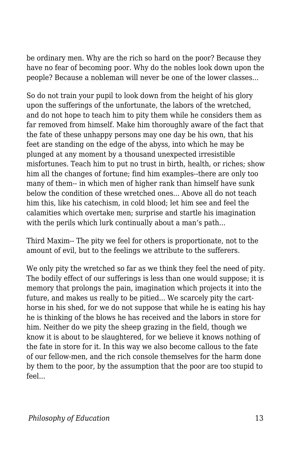be ordinary men. Why are the rich so hard on the poor? Because they have no fear of becoming poor. Why do the nobles look down upon the people? Because a nobleman will never be one of the lower classes...

So do not train your pupil to look down from the height of his glory upon the sufferings of the unfortunate, the labors of the wretched, and do not hope to teach him to pity them while he considers them as far removed from himself. Make him thoroughly aware of the fact that the fate of these unhappy persons may one day be his own, that his feet are standing on the edge of the abyss, into which he may be plunged at any moment by a thousand unexpected irresistible misfortunes. Teach him to put no trust in birth, health, or riches; show him all the changes of fortune; find him examples--there are only too many of them-- in which men of higher rank than himself have sunk below the condition of these wretched ones. Above all do not teach him this, like his catechism, in cold blood; let him see and feel the calamities which overtake men; surprise and startle his imagination with the perils which lurk continually about a man's path...

Third Maxim-- The pity we feel for others is proportionate, not to the amount of evil, but to the feelings we attribute to the sufferers.

We only pity the wretched so far as we think they feel the need of pity. The bodily effect of our sufferings is less than one would suppose; it is memory that prolongs the pain, imagination which projects it into the future, and makes us really to be pitied... We scarcely pity the carthorse in his shed, for we do not suppose that while he is eating his hay he is thinking of the blows he has received and the labors in store for him. Neither do we pity the sheep grazing in the field, though we know it is about to be slaughtered, for we believe it knows nothing of the fate in store for it. In this way we also become callous to the fate of our fellow-men, and the rich console themselves for the harm done by them to the poor, by the assumption that the poor are too stupid to feel...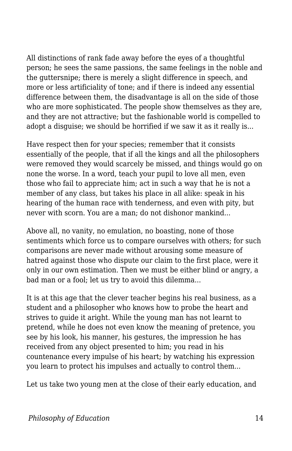All distinctions of rank fade away before the eyes of a thoughtful person; he sees the same passions, the same feelings in the noble and the guttersnipe; there is merely a slight difference in speech, and more or less artificiality of tone; and if there is indeed any essential difference between them, the disadvantage is all on the side of those who are more sophisticated. The people show themselves as they are, and they are not attractive; but the fashionable world is compelled to adopt a disguise; we should be horrified if we saw it as it really is...

Have respect then for your species; remember that it consists essentially of the people, that if all the kings and all the philosophers were removed they would scarcely be missed, and things would go on none the worse. In a word, teach your pupil to love all men, even those who fail to appreciate him; act in such a way that he is not a member of any class, but takes his place in all alike: speak in his hearing of the human race with tenderness, and even with pity, but never with scorn. You are a man; do not dishonor mankind...

Above all, no vanity, no emulation, no boasting, none of those sentiments which force us to compare ourselves with others; for such comparisons are never made without arousing some measure of hatred against those who dispute our claim to the first place, were it only in our own estimation. Then we must be either blind or angry, a bad man or a fool; let us try to avoid this dilemma...

It is at this age that the clever teacher begins his real business, as a student and a philosopher who knows how to probe the heart and strives to guide it aright. While the young man has not learnt to pretend, while he does not even know the meaning of pretence, you see by his look, his manner, his gestures, the impression he has received from any object presented to him; you read in his countenance every impulse of his heart; by watching his expression you learn to protect his impulses and actually to control them...

Let us take two young men at the close of their early education, and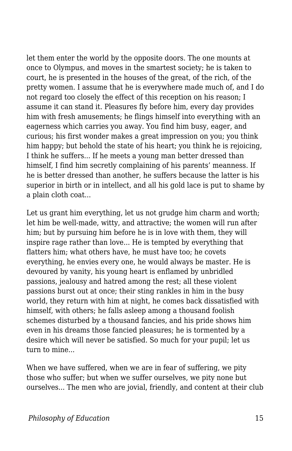let them enter the world by the opposite doors. The one mounts at once to Olympus, and moves in the smartest society; he is taken to court, he is presented in the houses of the great, of the rich, of the pretty women. I assume that he is everywhere made much of, and I do not regard too closely the effect of this reception on his reason; I assume it can stand it. Pleasures fly before him, every day provides him with fresh amusements; he flings himself into everything with an eagerness which carries you away. You find him busy, eager, and curious; his first wonder makes a great impression on you; you think him happy; but behold the state of his heart; you think he is rejoicing, I think he suffers... If he meets a young man better dressed than himself, I find him secretly complaining of his parents' meanness. If he is better dressed than another, he suffers because the latter is his superior in birth or in intellect, and all his gold lace is put to shame by a plain cloth coat...

Let us grant him everything, let us not grudge him charm and worth; let him be well-made, witty, and attractive; the women will run after him; but by pursuing him before he is in love with them, they will inspire rage rather than love... He is tempted by everything that flatters him; what others have, he must have too; he covets everything, he envies every one, he would always be master. He is devoured by vanity, his young heart is enflamed by unbridled passions, jealousy and hatred among the rest; all these violent passions burst out at once; their sting rankles in him in the busy world, they return with him at night, he comes back dissatisfied with himself, with others; he falls asleep among a thousand foolish schemes disturbed by a thousand fancies, and his pride shows him even in his dreams those fancied pleasures; he is tormented by a desire which will never be satisfied. So much for your pupil; let us turn to mine.

When we have suffered, when we are in fear of suffering, we pity those who suffer; but when we suffer ourselves, we pity none but ourselves... The men who are jovial, friendly, and content at their club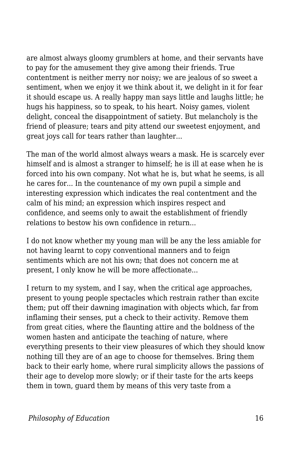are almost always gloomy grumblers at home, and their servants have to pay for the amusement they give among their friends. True contentment is neither merry nor noisy; we are jealous of so sweet a sentiment, when we enjoy it we think about it, we delight in it for fear it should escape us. A really happy man says little and laughs little; he hugs his happiness, so to speak, to his heart. Noisy games, violent delight, conceal the disappointment of satiety. But melancholy is the friend of pleasure; tears and pity attend our sweetest enjoyment, and great joys call for tears rather than laughter...

The man of the world almost always wears a mask. He is scarcely ever himself and is almost a stranger to himself; he is ill at ease when he is forced into his own company. Not what he is, but what he seems, is all he cares for... In the countenance of my own pupil a simple and interesting expression which indicates the real contentment and the calm of his mind; an expression which inspires respect and confidence, and seems only to await the establishment of friendly relations to bestow his own confidence in return...

I do not know whether my young man will be any the less amiable for not having learnt to copy conventional manners and to feign sentiments which are not his own; that does not concern me at present, I only know he will be more affectionate...

I return to my system, and I say, when the critical age approaches, present to young people spectacles which restrain rather than excite them; put off their dawning imagination with objects which, far from inflaming their senses, put a check to their activity. Remove them from great cities, where the flaunting attire and the boldness of the women hasten and anticipate the teaching of nature, where everything presents to their view pleasures of which they should know nothing till they are of an age to choose for themselves. Bring them back to their early home, where rural simplicity allows the passions of their age to develop more slowly; or if their taste for the arts keeps them in town, guard them by means of this very taste from a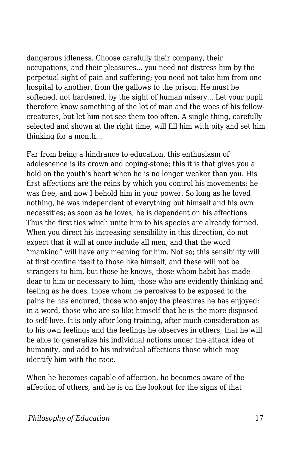dangerous idleness. Choose carefully their company, their occupations, and their pleasures... you need not distress him by the perpetual sight of pain and suffering; you need not take him from one hospital to another, from the gallows to the prison. He must be softened, not hardened, by the sight of human misery... Let your pupil therefore know something of the lot of man and the woes of his fellowcreatures, but let him not see them too often. A single thing, carefully selected and shown at the right time, will fill him with pity and set him thinking for a month...

Far from being a hindrance to education, this enthusiasm of adolescence is its crown and coping-stone; this it is that gives you a hold on the youth's heart when he is no longer weaker than you. His first affections are the reins by which you control his movements; he was free, and now I behold him in your power. So long as he loved nothing, he was independent of everything but himself and his own necessities; as soon as he loves, he is dependent on his affections. Thus the first ties which unite him to his species are already formed. When you direct his increasing sensibility in this direction, do not expect that it will at once include all men, and that the word "mankind" will have any meaning for him. Not so; this sensibility will at first confine itself to those like himself, and these will not be strangers to him, but those he knows, those whom habit has made dear to him or necessary to him, those who are evidently thinking and feeling as he does, those whom he perceives to be exposed to the pains he has endured, those who enjoy the pleasures he has enjoyed; in a word, those who are so like himself that he is the more disposed to self-love. It is only after long training, after much consideration as to his own feelings and the feelings he observes in others, that he will be able to generalize his individual notions under the attack idea of humanity, and add to his individual affections those which may identify him with the race.

When he becomes capable of affection, he becomes aware of the affection of others, and he is on the lookout for the signs of that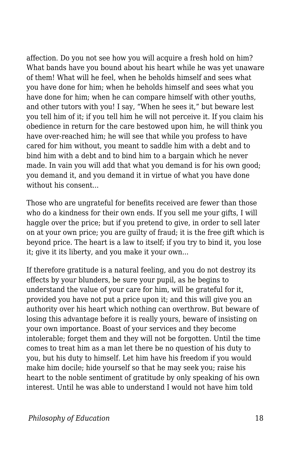affection. Do you not see how you will acquire a fresh hold on him? What bands have you bound about his heart while he was yet unaware of them! What will he feel, when he beholds himself and sees what you have done for him; when he beholds himself and sees what you have done for him; when he can compare himself with other youths, and other tutors with you! I say, "When he sees it," but beware lest you tell him of it; if you tell him he will not perceive it. If you claim his obedience in return for the care bestowed upon him, he will think you have over-reached him; he will see that while you profess to have cared for him without, you meant to saddle him with a debt and to bind him with a debt and to bind him to a bargain which he never made. In vain you will add that what you demand is for his own good; you demand it, and you demand it in virtue of what you have done without his consent.

Those who are ungrateful for benefits received are fewer than those who do a kindness for their own ends. If you sell me your gifts, I will haggle over the price; but if you pretend to give, in order to sell later on at your own price; you are guilty of fraud; it is the free gift which is beyond price. The heart is a law to itself; if you try to bind it, you lose it; give it its liberty, and you make it your own...

If therefore gratitude is a natural feeling, and you do not destroy its effects by your blunders, be sure your pupil, as he begins to understand the value of your care for him, will be grateful for it, provided you have not put a price upon it; and this will give you an authority over his heart which nothing can overthrow. But beware of losing this advantage before it is really yours, beware of insisting on your own importance. Boast of your services and they become intolerable; forget them and they will not be forgotten. Until the time comes to treat him as a man let there be no question of his duty to you, but his duty to himself. Let him have his freedom if you would make him docile; hide yourself so that he may seek you; raise his heart to the noble sentiment of gratitude by only speaking of his own interest. Until he was able to understand I would not have him told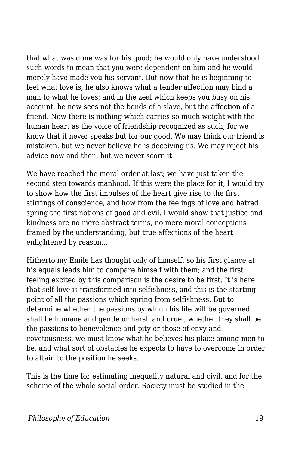that what was done was for his good; he would only have understood such words to mean that you were dependent on him and he would merely have made you his servant. But now that he is beginning to feel what love is, he also knows what a tender affection may bind a man to what he loves; and in the zeal which keeps you busy on his account, he now sees not the bonds of a slave, but the affection of a friend. Now there is nothing which carries so much weight with the human heart as the voice of friendship recognized as such, for we know that it never speaks but for our good. We may think our friend is mistaken, but we never believe he is deceiving us. We may reject his advice now and then, but we never scorn it.

We have reached the moral order at last; we have just taken the second step towards manhood. If this were the place for it, I would try to show how the first impulses of the heart give rise to the first stirrings of conscience, and how from the feelings of love and hatred spring the first notions of good and evil. I would show that justice and kindness are no mere abstract terms, no mere moral conceptions framed by the understanding, but true affections of the heart enlightened by reason...

Hitherto my Emile has thought only of himself, so his first glance at his equals leads him to compare himself with them; and the first feeling excited by this comparison is the desire to be first. It is here that self-love is transformed into selfishness, and this is the starting point of all the passions which spring from selfishness. But to determine whether the passions by which his life will be governed shall be humane and gentle or harsh and cruel, whether they shall be the passions to benevolence and pity or those of envy and covetousness, we must know what he believes his place among men to be, and what sort of obstacles he expects to have to overcome in order to attain to the position he seeks...

This is the time for estimating inequality natural and civil, and for the scheme of the whole social order. Society must be studied in the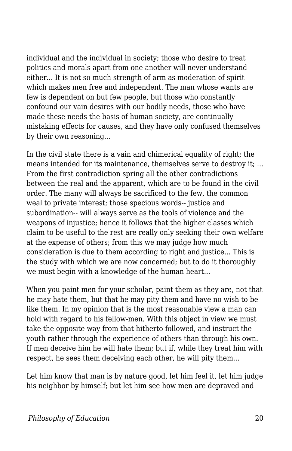individual and the individual in society; those who desire to treat politics and morals apart from one another will never understand either... It is not so much strength of arm as moderation of spirit which makes men free and independent. The man whose wants are few is dependent on but few people, but those who constantly confound our vain desires with our bodily needs, those who have made these needs the basis of human society, are continually mistaking effects for causes, and they have only confused themselves by their own reasoning...

In the civil state there is a vain and chimerical equality of right; the means intended for its maintenance, themselves serve to destroy it; ... From the first contradiction spring all the other contradictions between the real and the apparent, which are to be found in the civil order. The many will always be sacrificed to the few, the common weal to private interest; those specious words-- justice and subordination-- will always serve as the tools of violence and the weapons of injustice; hence it follows that the higher classes which claim to be useful to the rest are really only seeking their own welfare at the expense of others; from this we may judge how much consideration is due to them according to right and justice... This is the study with which we are now concerned; but to do it thoroughly we must begin with a knowledge of the human heart...

When you paint men for your scholar, paint them as they are, not that he may hate them, but that he may pity them and have no wish to be like them. In my opinion that is the most reasonable view a man can hold with regard to his fellow-men. With this object in view we must take the opposite way from that hitherto followed, and instruct the youth rather through the experience of others than through his own. If men deceive him he will hate them; but if, while they treat him with respect, he sees them deceiving each other, he will pity them...

Let him know that man is by nature good, let him feel it, let him judge his neighbor by himself; but let him see how men are depraved and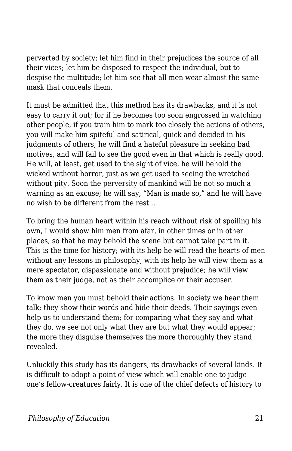perverted by society; let him find in their prejudices the source of all their vices; let him be disposed to respect the individual, but to despise the multitude; let him see that all men wear almost the same mask that conceals them.

It must be admitted that this method has its drawbacks, and it is not easy to carry it out; for if he becomes too soon engrossed in watching other people, if you train him to mark too closely the actions of others, you will make him spiteful and satirical, quick and decided in his judgments of others; he will find a hateful pleasure in seeking bad motives, and will fail to see the good even in that which is really good. He will, at least, get used to the sight of vice, he will behold the wicked without horror, just as we get used to seeing the wretched without pity. Soon the perversity of mankind will be not so much a warning as an excuse; he will say, "Man is made so," and he will have no wish to be different from the rest...

To bring the human heart within his reach without risk of spoiling his own, I would show him men from afar, in other times or in other places, so that he may behold the scene but cannot take part in it. This is the time for history; with its help he will read the hearts of men without any lessons in philosophy; with its help he will view them as a mere spectator, dispassionate and without prejudice; he will view them as their judge, not as their accomplice or their accuser.

To know men you must behold their actions. In society we hear them talk; they show their words and hide their deeds. Their sayings even help us to understand them; for comparing what they say and what they do, we see not only what they are but what they would appear; the more they disguise themselves the more thoroughly they stand revealed.

Unluckily this study has its dangers, its drawbacks of several kinds. It is difficult to adopt a point of view which will enable one to judge one's fellow-creatures fairly. It is one of the chief defects of history to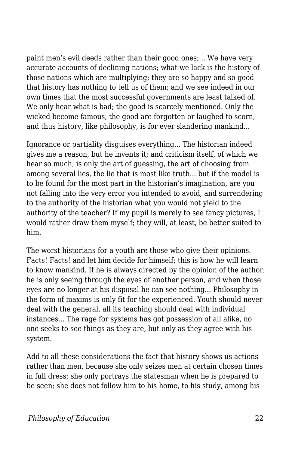paint men's evil deeds rather than their good ones;... We have very accurate accounts of declining nations; what we lack is the history of those nations which are multiplying; they are so happy and so good that history has nothing to tell us of them; and we see indeed in our own times that the most successful governments are least talked of. We only hear what is bad; the good is scarcely mentioned. Only the wicked become famous, the good are forgotten or laughed to scorn, and thus history, like philosophy, is for ever slandering mankind...

Ignorance or partiality disguises everything... The historian indeed gives me a reason, but he invents it; and criticism itself, of which we hear so much, is only the art of guessing, the art of choosing from among several lies, the lie that is most like truth... but if the model is to be found for the most part in the historian's imagination, are you not falling into the very error you intended to avoid, and surrendering to the authority of the historian what you would not yield to the authority of the teacher? If my pupil is merely to see fancy pictures, I would rather draw them myself; they will, at least, be better suited to him.

The worst historians for a youth are those who give their opinions. Facts! Facts! and let him decide for himself; this is how he will learn to know mankind. If he is always directed by the opinion of the author, he is only seeing through the eyes of another person, and when those eyes are no longer at his disposal he can see nothing... Philosophy in the form of maxims is only fit for the experienced. Youth should never deal with the general, all its teaching should deal with individual instances... The rage for systems has got possession of all alike, no one seeks to see things as they are, but only as they agree with his system.

Add to all these considerations the fact that history shows us actions rather than men, because she only seizes men at certain chosen times in full dress; she only portrays the statesman when he is prepared to be seen; she does not follow him to his home, to his study, among his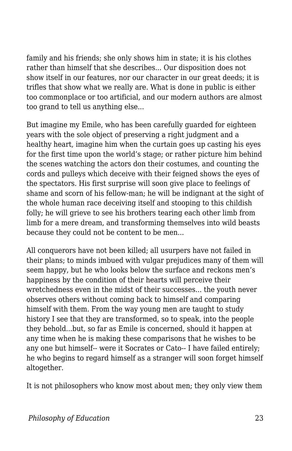family and his friends; she only shows him in state; it is his clothes rather than himself that she describes... Our disposition does not show itself in our features, nor our character in our great deeds; it is trifles that show what we really are. What is done in public is either too commonplace or too artificial, and our modern authors are almost too grand to tell us anything else...

But imagine my Emile, who has been carefully guarded for eighteen years with the sole object of preserving a right judgment and a healthy heart, imagine him when the curtain goes up casting his eyes for the first time upon the world's stage; or rather picture him behind the scenes watching the actors don their costumes, and counting the cords and pulleys which deceive with their feigned shows the eyes of the spectators. His first surprise will soon give place to feelings of shame and scorn of his fellow-man; he will be indignant at the sight of the whole human race deceiving itself and stooping to this childish folly; he will grieve to see his brothers tearing each other limb from limb for a mere dream, and transforming themselves into wild beasts because they could not be content to be men...

All conquerors have not been killed; all usurpers have not failed in their plans; to minds imbued with vulgar prejudices many of them will seem happy, but he who looks below the surface and reckons men's happiness by the condition of their hearts will perceive their wretchedness even in the midst of their successes... the youth never observes others without coming back to himself and comparing himself with them. From the way young men are taught to study history I see that they are transformed, so to speak, into the people they behold...but, so far as Emile is concerned, should it happen at any time when he is making these comparisons that he wishes to be any one but himself-- were it Socrates or Cato-- I have failed entirely; he who begins to regard himself as a stranger will soon forget himself altogether.

It is not philosophers who know most about men; they only view them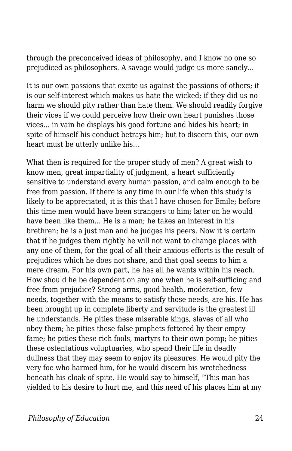through the preconceived ideas of philosophy, and I know no one so prejudiced as philosophers. A savage would judge us more sanely...

It is our own passions that excite us against the passions of others; it is our self-interest which makes us hate the wicked; if they did us no harm we should pity rather than hate them. We should readily forgive their vices if we could perceive how their own heart punishes those vices... in vain he displays his good fortune and hides his heart; in spite of himself his conduct betrays him; but to discern this, our own heart must be utterly unlike his...

What then is required for the proper study of men? A great wish to know men, great impartiality of judgment, a heart sufficiently sensitive to understand every human passion, and calm enough to be free from passion. If there is any time in our life when this study is likely to be appreciated, it is this that I have chosen for Emile; before this time men would have been strangers to him; later on he would have been like them... He is a man; he takes an interest in his brethren; he is a just man and he judges his peers. Now it is certain that if he judges them rightly he will not want to change places with any one of them, for the goal of all their anxious efforts is the result of prejudices which he does not share, and that goal seems to him a mere dream. For his own part, he has all he wants within his reach. How should he be dependent on any one when he is self-sufficing and free from prejudice? Strong arms, good health, moderation, few needs, together with the means to satisfy those needs, are his. He has been brought up in complete liberty and servitude is the greatest ill he understands. He pities these miserable kings, slaves of all who obey them; he pities these false prophets fettered by their empty fame; he pities these rich fools, martyrs to their own pomp; he pities these ostentatious voluptuaries, who spend their life in deadly dullness that they may seem to enjoy its pleasures. He would pity the very foe who harmed him, for he would discern his wretchedness beneath his cloak of spite. He would say to himself, "This man has yielded to his desire to hurt me, and this need of his places him at my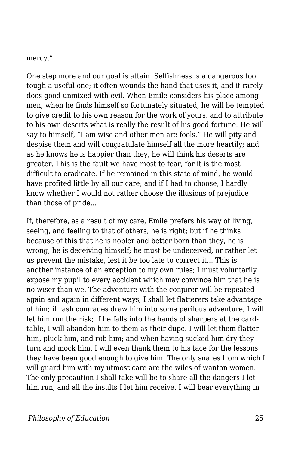mercy."

One step more and our goal is attain. Selfishness is a dangerous tool tough a useful one; it often wounds the hand that uses it, and it rarely does good unmixed with evil. When Emile considers his place among men, when he finds himself so fortunately situated, he will be tempted to give credit to his own reason for the work of yours, and to attribute to his own deserts what is really the result of his good fortune. He will say to himself, "I am wise and other men are fools." He will pity and despise them and will congratulate himself all the more heartily; and as he knows he is happier than they, he will think his deserts are greater. This is the fault we have most to fear, for it is the most difficult to eradicate. If he remained in this state of mind, he would have profited little by all our care; and if I had to choose, I hardly know whether I would not rather choose the illusions of prejudice than those of pride...

If, therefore, as a result of my care, Emile prefers his way of living, seeing, and feeling to that of others, he is right; but if he thinks because of this that he is nobler and better born than they, he is wrong; he is deceiving himself; he must be undeceived, or rather let us prevent the mistake, lest it be too late to correct it... This is another instance of an exception to my own rules; I must voluntarily expose my pupil to every accident which may convince him that he is no wiser than we. The adventure with the conjurer will be repeated again and again in different ways; I shall let flatterers take advantage of him; if rash comrades draw him into some perilous adventure, I will let him run the risk; if he falls into the hands of sharpers at the cardtable, I will abandon him to them as their dupe. I will let them flatter him, pluck him, and rob him; and when having sucked him dry they turn and mock him, I will even thank them to his face for the lessons they have been good enough to give him. The only snares from which I will guard him with my utmost care are the wiles of wanton women. The only precaution I shall take will be to share all the dangers I let him run, and all the insults I let him receive. I will bear everything in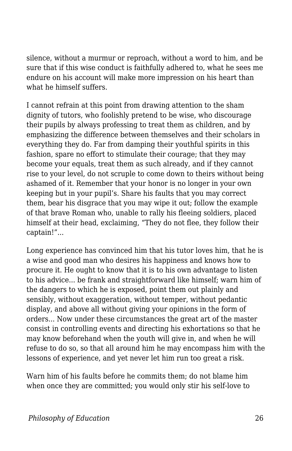silence, without a murmur or reproach, without a word to him, and be sure that if this wise conduct is faithfully adhered to, what he sees me endure on his account will make more impression on his heart than what he himself suffers.

I cannot refrain at this point from drawing attention to the sham dignity of tutors, who foolishly pretend to be wise, who discourage their pupils by always professing to treat them as children, and by emphasizing the difference between themselves and their scholars in everything they do. Far from damping their youthful spirits in this fashion, spare no effort to stimulate their courage; that they may become your equals, treat them as such already, and if they cannot rise to your level, do not scruple to come down to theirs without being ashamed of it. Remember that your honor is no longer in your own keeping but in your pupil's. Share his faults that you may correct them, bear his disgrace that you may wipe it out; follow the example of that brave Roman who, unable to rally his fleeing soldiers, placed himself at their head, exclaiming, "They do not flee, they follow their captain!"...

Long experience has convinced him that his tutor loves him, that he is a wise and good man who desires his happiness and knows how to procure it. He ought to know that it is to his own advantage to listen to his advice... be frank and straightforward like himself; warn him of the dangers to which he is exposed, point them out plainly and sensibly, without exaggeration, without temper, without pedantic display, and above all without giving your opinions in the form of orders... Now under these circumstances the great art of the master consist in controlling events and directing his exhortations so that he may know beforehand when the youth will give in, and when he will refuse to do so, so that all around him he may encompass him with the lessons of experience, and yet never let him run too great a risk.

Warn him of his faults before he commits them; do not blame him when once they are committed; you would only stir his self-love to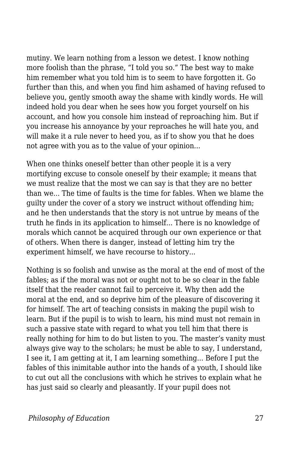mutiny. We learn nothing from a lesson we detest. I know nothing more foolish than the phrase, "I told you so." The best way to make him remember what you told him is to seem to have forgotten it. Go further than this, and when you find him ashamed of having refused to believe you, gently smooth away the shame with kindly words. He will indeed hold you dear when he sees how you forget yourself on his account, and how you console him instead of reproaching him. But if you increase his annoyance by your reproaches he will hate you, and will make it a rule never to heed you, as if to show you that he does not agree with you as to the value of your opinion...

When one thinks oneself better than other people it is a very mortifying excuse to console oneself by their example; it means that we must realize that the most we can say is that they are no better than we. The time of faults is the time for fables. When we blame the guilty under the cover of a story we instruct without offending him; and he then understands that the story is not untrue by means of the truth he finds in its application to himself... There is no knowledge of morals which cannot be acquired through our own experience or that of others. When there is danger, instead of letting him try the experiment himself, we have recourse to history...

Nothing is so foolish and unwise as the moral at the end of most of the fables; as if the moral was not or ought not to be so clear in the fable itself that the reader cannot fail to perceive it. Why then add the moral at the end, and so deprive him of the pleasure of discovering it for himself. The art of teaching consists in making the pupil wish to learn. But if the pupil is to wish to learn, his mind must not remain in such a passive state with regard to what you tell him that there is really nothing for him to do but listen to you. The master's vanity must always give way to the scholars; he must be able to say, I understand, I see it, I am getting at it, I am learning something... Before I put the fables of this inimitable author into the hands of a youth, I should like to cut out all the conclusions with which he strives to explain what he has just said so clearly and pleasantly. If your pupil does not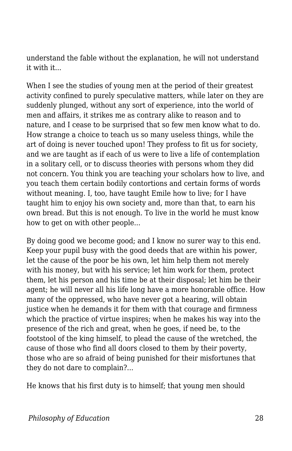understand the fable without the explanation, he will not understand it with it...

When I see the studies of young men at the period of their greatest activity confined to purely speculative matters, while later on they are suddenly plunged, without any sort of experience, into the world of men and affairs, it strikes me as contrary alike to reason and to nature, and I cease to be surprised that so few men know what to do. How strange a choice to teach us so many useless things, while the art of doing is never touched upon! They profess to fit us for society, and we are taught as if each of us were to live a life of contemplation in a solitary cell, or to discuss theories with persons whom they did not concern. You think you are teaching your scholars how to live, and you teach them certain bodily contortions and certain forms of words without meaning. I, too, have taught Emile how to live; for I have taught him to enjoy his own society and, more than that, to earn his own bread. But this is not enough. To live in the world he must know how to get on with other people...

By doing good we become good; and I know no surer way to this end. Keep your pupil busy with the good deeds that are within his power, let the cause of the poor be his own, let him help them not merely with his money, but with his service; let him work for them, protect them, let his person and his time be at their disposal; let him be their agent; he will never all his life long have a more honorable office. How many of the oppressed, who have never got a hearing, will obtain justice when he demands it for them with that courage and firmness which the practice of virtue inspires; when he makes his way into the presence of the rich and great, when he goes, if need be, to the footstool of the king himself, to plead the cause of the wretched, the cause of those who find all doors closed to them by their poverty, those who are so afraid of being punished for their misfortunes that they do not dare to complain?...

He knows that his first duty is to himself; that young men should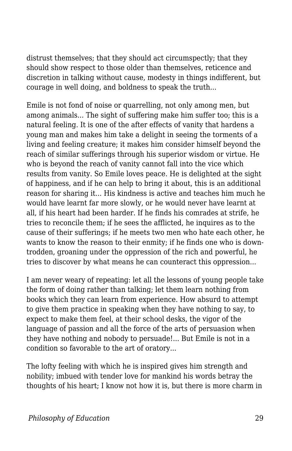distrust themselves; that they should act circumspectly; that they should show respect to those older than themselves, reticence and discretion in talking without cause, modesty in things indifferent, but courage in well doing, and boldness to speak the truth...

Emile is not fond of noise or quarrelling, not only among men, but among animals... The sight of suffering make him suffer too; this is a natural feeling. It is one of the after effects of vanity that hardens a young man and makes him take a delight in seeing the torments of a living and feeling creature; it makes him consider himself beyond the reach of similar sufferings through his superior wisdom or virtue. He who is beyond the reach of vanity cannot fall into the vice which results from vanity. So Emile loves peace. He is delighted at the sight of happiness, and if he can help to bring it about, this is an additional reason for sharing it... His kindness is active and teaches him much he would have learnt far more slowly, or he would never have learnt at all, if his heart had been harder. If he finds his comrades at strife, he tries to reconcile them; if he sees the afflicted, he inquires as to the cause of their sufferings; if he meets two men who hate each other, he wants to know the reason to their enmity; if he finds one who is downtrodden, groaning under the oppression of the rich and powerful, he tries to discover by what means he can counteract this oppression...

I am never weary of repeating: let all the lessons of young people take the form of doing rather than talking; let them learn nothing from books which they can learn from experience. How absurd to attempt to give them practice in speaking when they have nothing to say, to expect to make them feel, at their school desks, the vigor of the language of passion and all the force of the arts of persuasion when they have nothing and nobody to persuade!... But Emile is not in a condition so favorable to the art of oratory...

The lofty feeling with which he is inspired gives him strength and nobility; imbued with tender love for mankind his words betray the thoughts of his heart; I know not how it is, but there is more charm in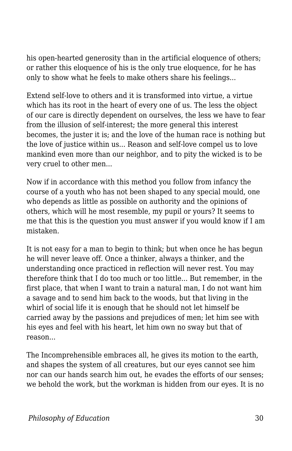his open-hearted generosity than in the artificial eloquence of others; or rather this eloquence of his is the only true eloquence, for he has only to show what he feels to make others share his feelings...

Extend self-love to others and it is transformed into virtue, a virtue which has its root in the heart of every one of us. The less the object of our care is directly dependent on ourselves, the less we have to fear from the illusion of self-interest; the more general this interest becomes, the juster it is; and the love of the human race is nothing but the love of justice within us... Reason and self-love compel us to love mankind even more than our neighbor, and to pity the wicked is to be very cruel to other men...

Now if in accordance with this method you follow from infancy the course of a youth who has not been shaped to any special mould, one who depends as little as possible on authority and the opinions of others, which will he most resemble, my pupil or yours? It seems to me that this is the question you must answer if you would know if I am mistaken.

It is not easy for a man to begin to think; but when once he has begun he will never leave off. Once a thinker, always a thinker, and the understanding once practiced in reflection will never rest. You may therefore think that I do too much or too little... But remember, in the first place, that when I want to train a natural man, I do not want him a savage and to send him back to the woods, but that living in the whirl of social life it is enough that he should not let himself be carried away by the passions and prejudices of men; let him see with his eyes and feel with his heart, let him own no sway but that of reason...

The Incomprehensible embraces all, he gives its motion to the earth, and shapes the system of all creatures, but our eyes cannot see him nor can our hands search him out, he evades the efforts of our senses; we behold the work, but the workman is hidden from our eyes. It is no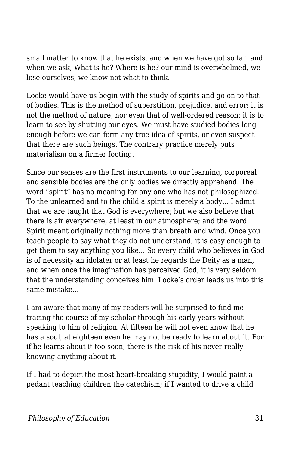small matter to know that he exists, and when we have got so far, and when we ask, What is he? Where is he? our mind is overwhelmed, we lose ourselves, we know not what to think.

Locke would have us begin with the study of spirits and go on to that of bodies. This is the method of superstition, prejudice, and error; it is not the method of nature, nor even that of well-ordered reason; it is to learn to see by shutting our eyes. We must have studied bodies long enough before we can form any true idea of spirits, or even suspect that there are such beings. The contrary practice merely puts materialism on a firmer footing.

Since our senses are the first instruments to our learning, corporeal and sensible bodies are the only bodies we directly apprehend. The word "spirit" has no meaning for any one who has not philosophized. To the unlearned and to the child a spirit is merely a body... I admit that we are taught that God is everywhere; but we also believe that there is air everywhere, at least in our atmosphere; and the word Spirit meant originally nothing more than breath and wind. Once you teach people to say what they do not understand, it is easy enough to get them to say anything you like... So every child who believes in God is of necessity an idolater or at least he regards the Deity as a man, and when once the imagination has perceived God, it is very seldom that the understanding conceives him. Locke's order leads us into this same mistake...

I am aware that many of my readers will be surprised to find me tracing the course of my scholar through his early years without speaking to him of religion. At fifteen he will not even know that he has a soul, at eighteen even he may not be ready to learn about it. For if he learns about it too soon, there is the risk of his never really knowing anything about it.

If I had to depict the most heart-breaking stupidity, I would paint a pedant teaching children the catechism; if I wanted to drive a child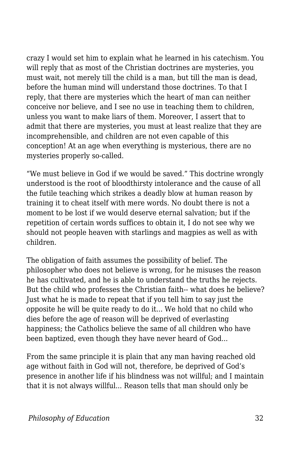crazy I would set him to explain what he learned in his catechism. You will reply that as most of the Christian doctrines are mysteries, you must wait, not merely till the child is a man, but till the man is dead, before the human mind will understand those doctrines. To that I reply, that there are mysteries which the heart of man can neither conceive nor believe, and I see no use in teaching them to children, unless you want to make liars of them. Moreover, I assert that to admit that there are mysteries, you must at least realize that they are incomprehensible, and children are not even capable of this conception! At an age when everything is mysterious, there are no mysteries properly so-called.

"We must believe in God if we would be saved." This doctrine wrongly understood is the root of bloodthirsty intolerance and the cause of all the futile teaching which strikes a deadly blow at human reason by training it to cheat itself with mere words. No doubt there is not a moment to be lost if we would deserve eternal salvation; but if the repetition of certain words suffices to obtain it, I do not see why we should not people heaven with starlings and magpies as well as with children.

The obligation of faith assumes the possibility of belief. The philosopher who does not believe is wrong, for he misuses the reason he has cultivated, and he is able to understand the truths he rejects. But the child who professes the Christian faith-- what does he believe? Just what he is made to repeat that if you tell him to say just the opposite he will be quite ready to do it... We hold that no child who dies before the age of reason will be deprived of everlasting happiness: the Catholics believe the same of all children who have been baptized, even though they have never heard of God...

From the same principle it is plain that any man having reached old age without faith in God will not, therefore, be deprived of God's presence in another life if his blindness was not willful; and I maintain that it is not always willful... Reason tells that man should only be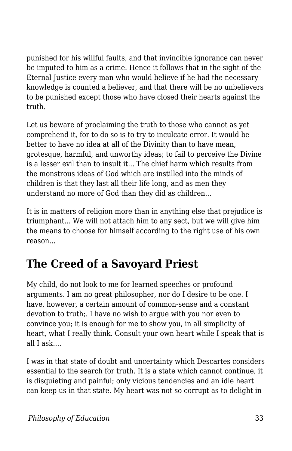punished for his willful faults, and that invincible ignorance can never be imputed to him as a crime. Hence it follows that in the sight of the Eternal Justice every man who would believe if he had the necessary knowledge is counted a believer, and that there will be no unbelievers to be punished except those who have closed their hearts against the truth.

Let us beware of proclaiming the truth to those who cannot as yet comprehend it, for to do so is to try to inculcate error. It would be better to have no idea at all of the Divinity than to have mean, grotesque, harmful, and unworthy ideas; to fail to perceive the Divine is a lesser evil than to insult it... The chief harm which results from the monstrous ideas of God which are instilled into the minds of children is that they last all their life long, and as men they understand no more of God than they did as children...

It is in matters of religion more than in anything else that prejudice is triumphant... We will not attach him to any sect, but we will give him the means to choose for himself according to the right use of his own reason...

## **The Creed of a Savoyard Priest**

My child, do not look to me for learned speeches or profound arguments. I am no great philosopher, nor do I desire to be one. I have, however, a certain amount of common-sense and a constant devotion to truth;. I have no wish to argue with you nor even to convince you; it is enough for me to show you, in all simplicity of heart, what I really think. Consult your own heart while I speak that is all I ask....

I was in that state of doubt and uncertainty which Descartes considers essential to the search for truth. It is a state which cannot continue, it is disquieting and painful; only vicious tendencies and an idle heart can keep us in that state. My heart was not so corrupt as to delight in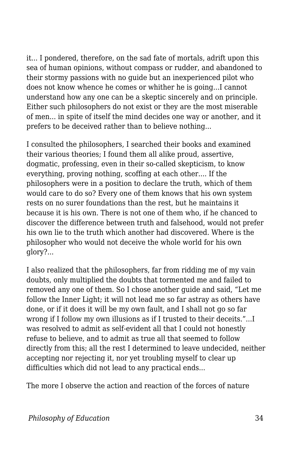it... I pondered, therefore, on the sad fate of mortals, adrift upon this sea of human opinions, without compass or rudder, and abandoned to their stormy passions with no guide but an inexperienced pilot who does not know whence he comes or whither he is going...I cannot understand how any one can be a skeptic sincerely and on principle. Either such philosophers do not exist or they are the most miserable of men... in spite of itself the mind decides one way or another, and it prefers to be deceived rather than to believe nothing...

I consulted the philosophers, I searched their books and examined their various theories; I found them all alike proud, assertive, dogmatic, professing, even in their so-called skepticism, to know everything, proving nothing, scoffing at each other.... If the philosophers were in a position to declare the truth, which of them would care to do so? Every one of them knows that his own system rests on no surer foundations than the rest, but he maintains it because it is his own. There is not one of them who, if he chanced to discover the difference between truth and falsehood, would not prefer his own lie to the truth which another had discovered. Where is the philosopher who would not deceive the whole world for his own glory?...

I also realized that the philosophers, far from ridding me of my vain doubts, only multiplied the doubts that tormented me and failed to removed any one of them. So I chose another guide and said, "Let me follow the Inner Light; it will not lead me so far astray as others have done, or if it does it will be my own fault, and I shall not go so far wrong if I follow my own illusions as if I trusted to their deceits."...I was resolved to admit as self-evident all that I could not honestly refuse to believe, and to admit as true all that seemed to follow directly from this; all the rest I determined to leave undecided, neither accepting nor rejecting it, nor yet troubling myself to clear up difficulties which did not lead to any practical ends...

The more I observe the action and reaction of the forces of nature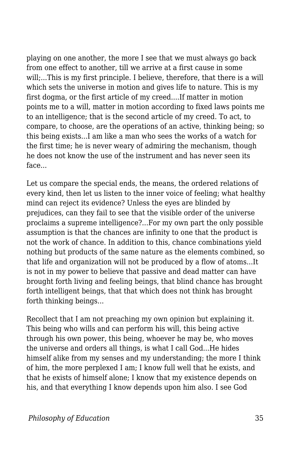playing on one another, the more I see that we must always go back from one effect to another, till we arrive at a first cause in some will;...This is my first principle. I believe, therefore, that there is a will which sets the universe in motion and gives life to nature. This is my first dogma, or the first article of my creed....If matter in motion points me to a will, matter in motion according to fixed laws points me to an intelligence; that is the second article of my creed. To act, to compare, to choose, are the operations of an active, thinking being; so this being exists...I am like a man who sees the works of a watch for the first time; he is never weary of admiring the mechanism, though he does not know the use of the instrument and has never seen its face...

Let us compare the special ends, the means, the ordered relations of every kind, then let us listen to the inner voice of feeling; what healthy mind can reject its evidence? Unless the eyes are blinded by prejudices, can they fail to see that the visible order of the universe proclaims a supreme intelligence?...For my own part the only possible assumption is that the chances are infinity to one that the product is not the work of chance. In addition to this, chance combinations yield nothing but products of the same nature as the elements combined, so that life and organization will not be produced by a flow of atoms...It is not in my power to believe that passive and dead matter can have brought forth living and feeling beings, that blind chance has brought forth intelligent beings, that that which does not think has brought forth thinking beings...

Recollect that I am not preaching my own opinion but explaining it. This being who wills and can perform his will, this being active through his own power, this being, whoever he may be, who moves the universe and orders all things, is what I call God...He hides himself alike from my senses and my understanding; the more I think of him, the more perplexed I am; I know full well that he exists, and that he exists of himself alone; I know that my existence depends on his, and that everything I know depends upon him also. I see God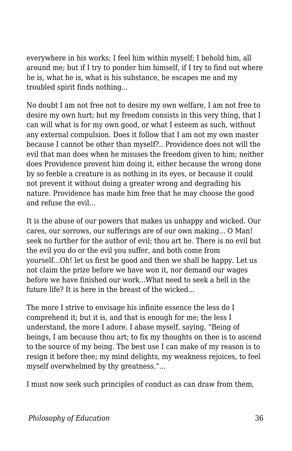everywhere in his works; I feel him within myself; I behold him, all around me; but if I try to ponder him himself, if I try to find out where he is, what he is, what is his substance, he escapes me and my troubled spirit finds nothing...

No doubt I am not free not to desire my own welfare, I am not free to desire my own hurt; but my freedom consists in this very thing, that I can will what is for my own good, or what I esteem as such, without any external compulsion. Does it follow that I am not my own master because I cannot be other than myself?.. Providence does not will the evil that man does when he misuses the freedom given to him; neither does Providence prevent him doing it, either because the wrong done by so feeble a creature is as nothing in its eyes, or because it could not prevent it without doing a greater wrong and degrading his nature. Providence has made him free that he may choose the good and refuse the evil...

It is the abuse of our powers that makes us unhappy and wicked. Our cares, our sorrows, our sufferings are of our own making... O Man! seek no further for the author of evil; thou art he. There is no evil but the evil you do or the evil you suffer, and both come from yourself...Oh! let us first be good and then we shall be happy. Let us not claim the prize before we have won it, nor demand our wages before we have finished our work...What need to seek a hell in the future life? It is here in the breast of the wicked...

The more I strive to envisage his infinite essence the less do I comprehend it; but it is, and that is enough for me; the less I understand, the more I adore. I abase myself, saying, "Being of beings, I am because thou art; to fix my thoughts on thee is to ascend to the source of my being. The best use I can make of my reason is to resign it before thee; my mind delights, my weakness rejoices, to feel myself overwhelmed by thy greatness."...

I must now seek such principles of conduct as can draw from them,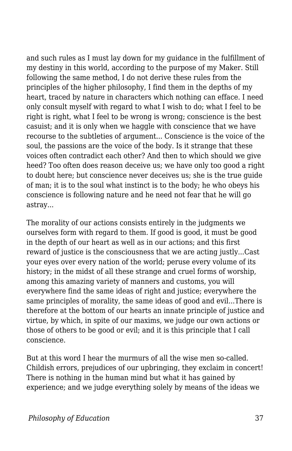and such rules as I must lay down for my guidance in the fulfillment of my destiny in this world, according to the purpose of my Maker. Still following the same method, I do not derive these rules from the principles of the higher philosophy, I find them in the depths of my heart, traced by nature in characters which nothing can efface. I need only consult myself with regard to what I wish to do; what I feel to be right is right, what I feel to be wrong is wrong; conscience is the best casuist; and it is only when we haggle with conscience that we have recourse to the subtleties of argument... Conscience is the voice of the soul, the passions are the voice of the body. Is it strange that these voices often contradict each other? And then to which should we give heed? Too often does reason deceive us; we have only too good a right to doubt here; but conscience never deceives us; she is the true guide of man; it is to the soul what instinct is to the body; he who obeys his conscience is following nature and he need not fear that he will go astray...

The morality of our actions consists entirely in the judgments we ourselves form with regard to them. If good is good, it must be good in the depth of our heart as well as in our actions; and this first reward of justice is the consciousness that we are acting justly...Cast your eyes over every nation of the world; peruse every volume of its history; in the midst of all these strange and cruel forms of worship, among this amazing variety of manners and customs, you will everywhere find the same ideas of right and justice; everywhere the same principles of morality, the same ideas of good and evil...There is therefore at the bottom of our hearts an innate principle of justice and virtue, by which, in spite of our maxims, we judge our own actions or those of others to be good or evil; and it is this principle that I call conscience.

But at this word I hear the murmurs of all the wise men so-called. Childish errors, prejudices of our upbringing, they exclaim in concert! There is nothing in the human mind but what it has gained by experience; and we judge everything solely by means of the ideas we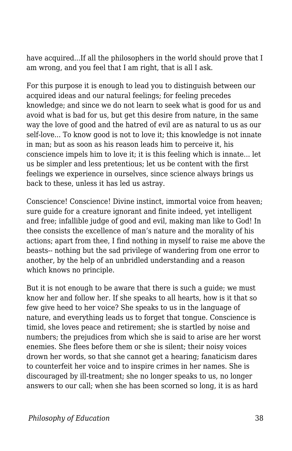have acquired...If all the philosophers in the world should prove that I am wrong, and you feel that I am right, that is all I ask.

For this purpose it is enough to lead you to distinguish between our acquired ideas and our natural feelings; for feeling precedes knowledge; and since we do not learn to seek what is good for us and avoid what is bad for us, but get this desire from nature, in the same way the love of good and the hatred of evil are as natural to us as our self-love... To know good is not to love it; this knowledge is not innate in man; but as soon as his reason leads him to perceive it, his conscience impels him to love it; it is this feeling which is innate... let us be simpler and less pretentious; let us be content with the first feelings we experience in ourselves, since science always brings us back to these, unless it has led us astray.

Conscience! Conscience! Divine instinct, immortal voice from heaven; sure guide for a creature ignorant and finite indeed, yet intelligent and free; infallible judge of good and evil, making man like to God! In thee consists the excellence of man's nature and the morality of his actions; apart from thee, I find nothing in myself to raise me above the beasts-- nothing but the sad privilege of wandering from one error to another, by the help of an unbridled understanding and a reason which knows no principle.

But it is not enough to be aware that there is such a guide; we must know her and follow her. If she speaks to all hearts, how is it that so few give heed to her voice? She speaks to us in the language of nature, and everything leads us to forget that tongue. Conscience is timid, she loves peace and retirement; she is startled by noise and numbers; the prejudices from which she is said to arise are her worst enemies. She flees before them or she is silent; their noisy voices drown her words, so that she cannot get a hearing; fanaticism dares to counterfeit her voice and to inspire crimes in her names. She is discouraged by ill-treatment; she no longer speaks to us, no longer answers to our call; when she has been scorned so long, it is as hard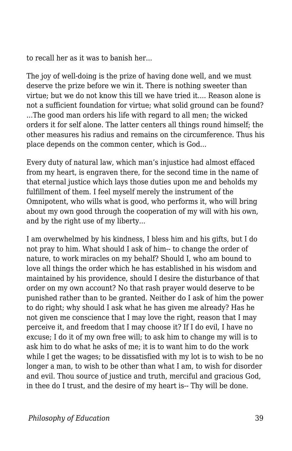to recall her as it was to banish her...

The joy of well-doing is the prize of having done well, and we must deserve the prize before we win it. There is nothing sweeter than virtue; but we do not know this till we have tried it.... Reason alone is not a sufficient foundation for virtue; what solid ground can be found? ...The good man orders his life with regard to all men; the wicked orders it for self alone. The latter centers all things round himself; the other measures his radius and remains on the circumference. Thus his place depends on the common center, which is God...

Every duty of natural law, which man's injustice had almost effaced from my heart, is engraven there, for the second time in the name of that eternal justice which lays those duties upon me and beholds my fulfillment of them. I feel myself merely the instrument of the Omnipotent, who wills what is good, who performs it, who will bring about my own good through the cooperation of my will with his own, and by the right use of my liberty...

I am overwhelmed by his kindness, I bless him and his gifts, but I do not pray to him. What should I ask of him-- to change the order of nature, to work miracles on my behalf? Should I, who am bound to love all things the order which he has established in his wisdom and maintained by his providence, should I desire the disturbance of that order on my own account? No that rash prayer would deserve to be punished rather than to be granted. Neither do I ask of him the power to do right; why should I ask what he has given me already? Has he not given me conscience that I may love the right, reason that I may perceive it, and freedom that I may choose it? If I do evil, I have no excuse; I do it of my own free will; to ask him to change my will is to ask him to do what he asks of me; it is to want him to do the work while I get the wages; to be dissatisfied with my lot is to wish to be no longer a man, to wish to be other than what I am, to wish for disorder and evil. Thou source of justice and truth, merciful and gracious God, in thee do I trust, and the desire of my heart is-- Thy will be done.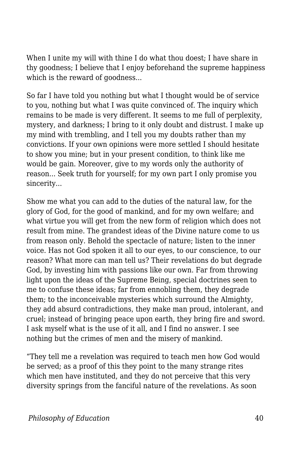When I unite my will with thine I do what thou doest; I have share in thy goodness; I believe that I enjoy beforehand the supreme happiness which is the reward of goodness...

So far I have told you nothing but what I thought would be of service to you, nothing but what I was quite convinced of. The inquiry which remains to be made is very different. It seems to me full of perplexity, mystery, and darkness; I bring to it only doubt and distrust. I make up my mind with trembling, and I tell you my doubts rather than my convictions. If your own opinions were more settled I should hesitate to show you mine; but in your present condition, to think like me would be gain. Moreover, give to my words only the authority of reason... Seek truth for yourself; for my own part I only promise you sincerity...

Show me what you can add to the duties of the natural law, for the glory of God, for the good of mankind, and for my own welfare; and what virtue you will get from the new form of religion which does not result from mine. The grandest ideas of the Divine nature come to us from reason only. Behold the spectacle of nature; listen to the inner voice. Has not God spoken it all to our eyes, to our conscience, to our reason? What more can man tell us? Their revelations do but degrade God, by investing him with passions like our own. Far from throwing light upon the ideas of the Supreme Being, special doctrines seen to me to confuse these ideas; far from ennobling them, they degrade them; to the inconceivable mysteries which surround the Almighty, they add absurd contradictions, they make man proud, intolerant, and cruel; instead of bringing peace upon earth, they bring fire and sword. I ask myself what is the use of it all, and I find no answer. I see nothing but the crimes of men and the misery of mankind.

"They tell me a revelation was required to teach men how God would be served; as a proof of this they point to the many strange rites which men have instituted, and they do not perceive that this very diversity springs from the fanciful nature of the revelations. As soon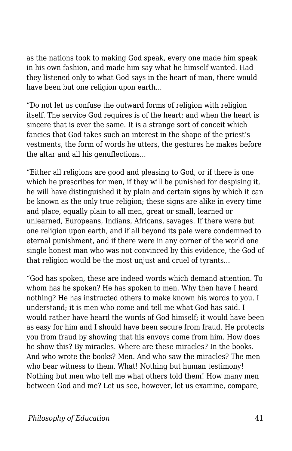as the nations took to making God speak, every one made him speak in his own fashion, and made him say what he himself wanted. Had they listened only to what God says in the heart of man, there would have been but one religion upon earth...

"Do not let us confuse the outward forms of religion with religion itself. The service God requires is of the heart; and when the heart is sincere that is ever the same. It is a strange sort of conceit which fancies that God takes such an interest in the shape of the priest's vestments, the form of words he utters, the gestures he makes before the altar and all his genuflections...

"Either all religions are good and pleasing to God, or if there is one which he prescribes for men, if they will be punished for despising it, he will have distinguished it by plain and certain signs by which it can be known as the only true religion; these signs are alike in every time and place, equally plain to all men, great or small, learned or unlearned, Europeans, Indians, Africans, savages. If there were but one religion upon earth, and if all beyond its pale were condemned to eternal punishment, and if there were in any corner of the world one single honest man who was not convinced by this evidence, the God of that religion would be the most unjust and cruel of tyrants...

"God has spoken, these are indeed words which demand attention. To whom has he spoken? He has spoken to men. Why then have I heard nothing? He has instructed others to make known his words to you. I understand; it is men who come and tell me what God has said. I would rather have heard the words of God himself; it would have been as easy for him and I should have been secure from fraud. He protects you from fraud by showing that his envoys come from him. How does he show this? By miracles. Where are these miracles? In the books. And who wrote the books? Men. And who saw the miracles? The men who bear witness to them. What! Nothing but human testimony! Nothing but men who tell me what others told them! How many men between God and me? Let us see, however, let us examine, compare,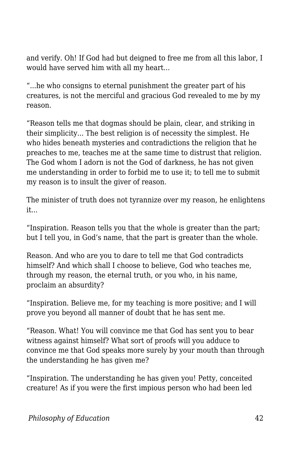and verify. Oh! If God had but deigned to free me from all this labor, I would have served him with all my heart...

"...he who consigns to eternal punishment the greater part of his creatures, is not the merciful and gracious God revealed to me by my reason.

"Reason tells me that dogmas should be plain, clear, and striking in their simplicity... The best religion is of necessity the simplest. He who hides beneath mysteries and contradictions the religion that he preaches to me, teaches me at the same time to distrust that religion. The God whom I adorn is not the God of darkness, he has not given me understanding in order to forbid me to use it; to tell me to submit my reason is to insult the giver of reason.

The minister of truth does not tyrannize over my reason, he enlightens it...

"Inspiration. Reason tells you that the whole is greater than the part; but I tell you, in God's name, that the part is greater than the whole.

Reason. And who are you to dare to tell me that God contradicts himself? And which shall I choose to believe, God who teaches me, through my reason, the eternal truth, or you who, in his name, proclaim an absurdity?

"Inspiration. Believe me, for my teaching is more positive; and I will prove you beyond all manner of doubt that he has sent me.

"Reason. What! You will convince me that God has sent you to bear witness against himself? What sort of proofs will you adduce to convince me that God speaks more surely by your mouth than through the understanding he has given me?

"Inspiration. The understanding he has given you! Petty, conceited creature! As if you were the first impious person who had been led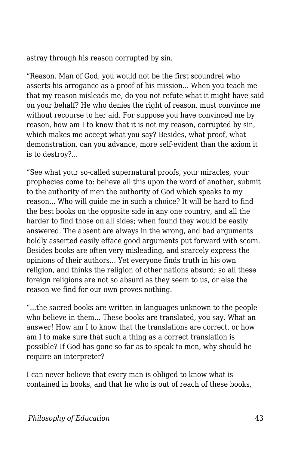astray through his reason corrupted by sin.

"Reason. Man of God, you would not be the first scoundrel who asserts his arrogance as a proof of his mission... When you teach me that my reason misleads me, do you not refute what it might have said on your behalf? He who denies the right of reason, must convince me without recourse to her aid. For suppose you have convinced me by reason, how am I to know that it is not my reason, corrupted by sin, which makes me accept what you say? Besides, what proof, what demonstration, can you advance, more self-evident than the axiom it is to destroy?...

"See what your so-called supernatural proofs, your miracles, your prophecies come to: believe all this upon the word of another, submit to the authority of men the authority of God which speaks to my reason... Who will guide me in such a choice? It will be hard to find the best books on the opposite side in any one country, and all the harder to find those on all sides; when found they would be easily answered. The absent are always in the wrong, and bad arguments boldly asserted easily efface good arguments put forward with scorn. Besides books are often very misleading, and scarcely express the opinions of their authors... Yet everyone finds truth in his own religion, and thinks the religion of other nations absurd; so all these foreign religions are not so absurd as they seem to us, or else the reason we find for our own proves nothing.

"...the sacred books are written in languages unknown to the people who believe in them... These books are translated, you say. What an answer! How am I to know that the translations are correct, or how am I to make sure that such a thing as a correct translation is possible? If God has gone so far as to speak to men, why should he require an interpreter?

I can never believe that every man is obliged to know what is contained in books, and that he who is out of reach of these books,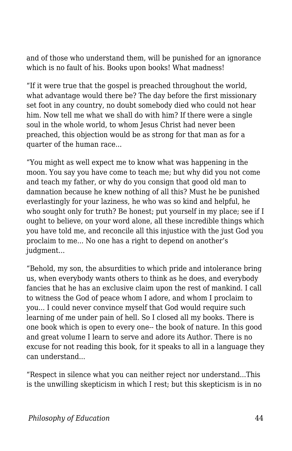and of those who understand them, will be punished for an ignorance which is no fault of his. Books upon books! What madness!

"If it were true that the gospel is preached throughout the world, what advantage would there be? The day before the first missionary set foot in any country, no doubt somebody died who could not hear him. Now tell me what we shall do with him? If there were a single soul in the whole world, to whom Jesus Christ had never been preached, this objection would be as strong for that man as for a quarter of the human race...

"You might as well expect me to know what was happening in the moon. You say you have come to teach me; but why did you not come and teach my father, or why do you consign that good old man to damnation because he knew nothing of all this? Must he be punished everlastingly for your laziness, he who was so kind and helpful, he who sought only for truth? Be honest; put yourself in my place; see if I ought to believe, on your word alone, all these incredible things which you have told me, and reconcile all this injustice with the just God you proclaim to me... No one has a right to depend on another's judgment...

"Behold, my son, the absurdities to which pride and intolerance bring us, when everybody wants others to think as he does, and everybody fancies that he has an exclusive claim upon the rest of mankind. I call to witness the God of peace whom I adore, and whom I proclaim to you... I could never convince myself that God would require such learning of me under pain of hell. So I closed all my books. There is one book which is open to every one-- the book of nature. In this good and great volume I learn to serve and adore its Author. There is no excuse for not reading this book, for it speaks to all in a language they can understand...

"Respect in silence what you can neither reject nor understand...This is the unwilling skepticism in which I rest; but this skepticism is in no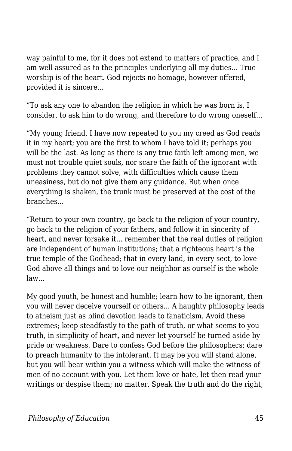way painful to me, for it does not extend to matters of practice, and I am well assured as to the principles underlying all my duties... True worship is of the heart. God rejects no homage, however offered, provided it is sincere...

"To ask any one to abandon the religion in which he was born is, I consider, to ask him to do wrong, and therefore to do wrong oneself...

"My young friend, I have now repeated to you my creed as God reads it in my heart; you are the first to whom I have told it; perhaps you will be the last. As long as there is any true faith left among men, we must not trouble quiet souls, nor scare the faith of the ignorant with problems they cannot solve, with difficulties which cause them uneasiness, but do not give them any guidance. But when once everything is shaken, the trunk must be preserved at the cost of the branches...

"Return to your own country, go back to the religion of your country, go back to the religion of your fathers, and follow it in sincerity of heart, and never forsake it... remember that the real duties of religion are independent of human institutions; that a righteous heart is the true temple of the Godhead; that in every land, in every sect, to love God above all things and to love our neighbor as ourself is the whole law...

My good youth, be honest and humble; learn how to be ignorant, then you will never deceive yourself or others... A haughty philosophy leads to atheism just as blind devotion leads to fanaticism. Avoid these extremes; keep steadfastly to the path of truth, or what seems to you truth, in simplicity of heart, and never let yourself be turned aside by pride or weakness. Dare to confess God before the philosophers; dare to preach humanity to the intolerant. It may be you will stand alone, but you will bear within you a witness which will make the witness of men of no account with you. Let them love or hate, let then read your writings or despise them; no matter. Speak the truth and do the right;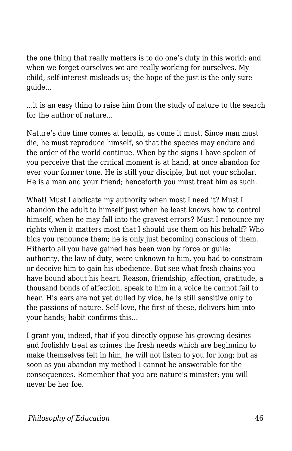the one thing that really matters is to do one's duty in this world; and when we forget ourselves we are really working for ourselves. My child, self-interest misleads us; the hope of the just is the only sure guide...

...it is an easy thing to raise him from the study of nature to the search for the author of nature...

Nature's due time comes at length, as come it must. Since man must die, he must reproduce himself, so that the species may endure and the order of the world continue. When by the signs I have spoken of you perceive that the critical moment is at hand, at once abandon for ever your former tone. He is still your disciple, but not your scholar. He is a man and your friend; henceforth you must treat him as such.

What! Must I abdicate my authority when most I need it? Must I abandon the adult to himself just when he least knows how to control himself, when he may fall into the gravest errors? Must I renounce my rights when it matters most that I should use them on his behalf? Who bids you renounce them; he is only just becoming conscious of them. Hitherto all you have gained has been won by force or guile; authority, the law of duty, were unknown to him, you had to constrain or deceive him to gain his obedience. But see what fresh chains you have bound about his heart. Reason, friendship, affection, gratitude, a thousand bonds of affection, speak to him in a voice he cannot fail to hear. His ears are not yet dulled by vice, he is still sensitive only to the passions of nature. Self-love, the first of these, delivers him into your hands; habit confirms this...

I grant you, indeed, that if you directly oppose his growing desires and foolishly treat as crimes the fresh needs which are beginning to make themselves felt in him, he will not listen to you for long; but as soon as you abandon my method I cannot be answerable for the consequences. Remember that you are nature's minister; you will never be her foe.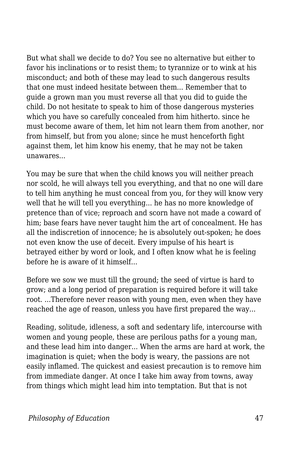But what shall we decide to do? You see no alternative but either to favor his inclinations or to resist them; to tyrannize or to wink at his misconduct; and both of these may lead to such dangerous results that one must indeed hesitate between them... Remember that to guide a grown man you must reverse all that you did to guide the child. Do not hesitate to speak to him of those dangerous mysteries which you have so carefully concealed from him hitherto. since he must become aware of them, let him not learn them from another, nor from himself, but from you alone; since he must henceforth fight against them, let him know his enemy, that he may not be taken unawares...

You may be sure that when the child knows you will neither preach nor scold, he will always tell you everything, and that no one will dare to tell him anything he must conceal from you, for they will know very well that he will tell you everything... he has no more knowledge of pretence than of vice; reproach and scorn have not made a coward of him; base fears have never taught him the art of concealment. He has all the indiscretion of innocence; he is absolutely out-spoken; he does not even know the use of deceit. Every impulse of his heart is betrayed either by word or look, and I often know what he is feeling before he is aware of it himself...

Before we sow we must till the ground; the seed of virtue is hard to grow; and a long period of preparation is required before it will take root. ...Therefore never reason with young men, even when they have reached the age of reason, unless you have first prepared the way...

Reading, solitude, idleness, a soft and sedentary life, intercourse with women and young people, these are perilous paths for a young man, and these lead him into danger... When the arms are hard at work, the imagination is quiet; when the body is weary, the passions are not easily inflamed. The quickest and easiest precaution is to remove him from immediate danger. At once I take him away from towns, away from things which might lead him into temptation. But that is not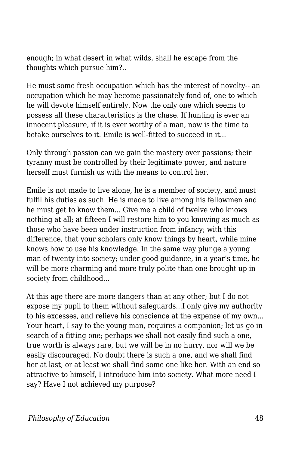enough; in what desert in what wilds, shall he escape from the thoughts which pursue him?..

He must some fresh occupation which has the interest of novelty-- an occupation which he may become passionately fond of, one to which he will devote himself entirely. Now the only one which seems to possess all these characteristics is the chase. If hunting is ever an innocent pleasure, if it is ever worthy of a man, now is the time to betake ourselves to it. Emile is well-fitted to succeed in it...

Only through passion can we gain the mastery over passions; their tyranny must be controlled by their legitimate power, and nature herself must furnish us with the means to control her.

Emile is not made to live alone, he is a member of society, and must fulfil his duties as such. He is made to live among his fellowmen and he must get to know them... Give me a child of twelve who knows nothing at all; at fifteen I will restore him to you knowing as much as those who have been under instruction from infancy; with this difference, that your scholars only know things by heart, while mine knows how to use his knowledge. In the same way plunge a young man of twenty into society; under good guidance, in a year's time, he will be more charming and more truly polite than one brought up in society from childhood...

At this age there are more dangers than at any other; but I do not expose my pupil to them without safeguards...I only give my authority to his excesses, and relieve his conscience at the expense of my own... Your heart, I say to the young man, requires a companion; let us go in search of a fitting one; perhaps we shall not easily find such a one, true worth is always rare, but we will be in no hurry, nor will we be easily discouraged. No doubt there is such a one, and we shall find her at last, or at least we shall find some one like her. With an end so attractive to himself, I introduce him into society. What more need I say? Have I not achieved my purpose?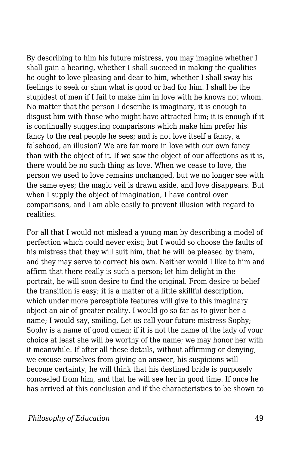By describing to him his future mistress, you may imagine whether I shall gain a hearing, whether I shall succeed in making the qualities he ought to love pleasing and dear to him, whether I shall sway his feelings to seek or shun what is good or bad for him. I shall be the stupidest of men if I fail to make him in love with he knows not whom. No matter that the person I describe is imaginary, it is enough to disgust him with those who might have attracted him; it is enough if it is continually suggesting comparisons which make him prefer his fancy to the real people he sees; and is not love itself a fancy, a falsehood, an illusion? We are far more in love with our own fancy than with the object of it. If we saw the object of our affections as it is, there would be no such thing as love. When we cease to love, the person we used to love remains unchanged, but we no longer see with the same eyes; the magic veil is drawn aside, and love disappears. But when I supply the object of imagination, I have control over comparisons, and I am able easily to prevent illusion with regard to realities.

For all that I would not mislead a young man by describing a model of perfection which could never exist; but I would so choose the faults of his mistress that they will suit him, that he will be pleased by them, and they may serve to correct his own. Neither would I like to him and affirm that there really is such a person; let him delight in the portrait, he will soon desire to find the original. From desire to belief the transition is easy; it is a matter of a little skillful description, which under more perceptible features will give to this imaginary object an air of greater reality. I would go so far as to giver her a name; I would say, smiling, Let us call your future mistress Sophy; Sophy is a name of good omen; if it is not the name of the lady of your choice at least she will be worthy of the name; we may honor her with it meanwhile. If after all these details, without affirming or denying, we excuse ourselves from giving an answer, his suspicions will become certainty; he will think that his destined bride is purposely concealed from him, and that he will see her in good time. If once he has arrived at this conclusion and if the characteristics to be shown to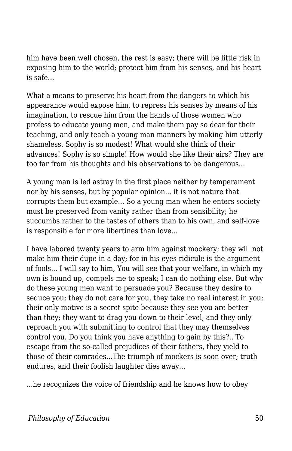him have been well chosen, the rest is easy; there will be little risk in exposing him to the world; protect him from his senses, and his heart is safe...

What a means to preserve his heart from the dangers to which his appearance would expose him, to repress his senses by means of his imagination, to rescue him from the hands of those women who profess to educate young men, and make them pay so dear for their teaching, and only teach a young man manners by making him utterly shameless. Sophy is so modest! What would she think of their advances! Sophy is so simple! How would she like their airs? They are too far from his thoughts and his observations to be dangerous...

A young man is led astray in the first place neither by temperament nor by his senses, but by popular opinion... it is not nature that corrupts them but example... So a young man when he enters society must be preserved from vanity rather than from sensibility; he succumbs rather to the tastes of others than to his own, and self-love is responsible for more libertines than love...

I have labored twenty years to arm him against mockery; they will not make him their dupe in a day; for in his eyes ridicule is the argument of fools... I will say to him, You will see that your welfare, in which my own is bound up, compels me to speak; I can do nothing else. But why do these young men want to persuade you? Because they desire to seduce you; they do not care for you, they take no real interest in you; their only motive is a secret spite because they see you are better than they; they want to drag you down to their level, and they only reproach you with submitting to control that they may themselves control you. Do you think you have anything to gain by this?.. To escape from the so-called prejudices of their fathers, they yield to those of their comrades...The triumph of mockers is soon over; truth endures, and their foolish laughter dies away...

...he recognizes the voice of friendship and he knows how to obey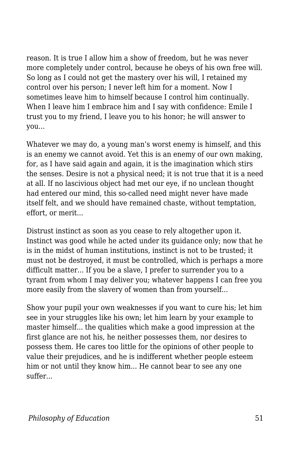reason. It is true I allow him a show of freedom, but he was never more completely under control, because he obeys of his own free will. So long as I could not get the mastery over his will, I retained my control over his person; I never left him for a moment. Now I sometimes leave him to himself because I control him continually. When I leave him I embrace him and I say with confidence: Emile I trust you to my friend, I leave you to his honor; he will answer to you...

Whatever we may do, a young man's worst enemy is himself, and this is an enemy we cannot avoid. Yet this is an enemy of our own making, for, as I have said again and again, it is the imagination which stirs the senses. Desire is not a physical need; it is not true that it is a need at all. If no lascivious object had met our eye, if no unclean thought had entered our mind, this so-called need might never have made itself felt, and we should have remained chaste, without temptation, effort, or merit...

Distrust instinct as soon as you cease to rely altogether upon it. Instinct was good while he acted under its guidance only; now that he is in the midst of human institutions, instinct is not to be trusted; it must not be destroyed, it must be controlled, which is perhaps a more difficult matter... If you be a slave, I prefer to surrender you to a tyrant from whom I may deliver you; whatever happens I can free you more easily from the slavery of women than from yourself...

Show your pupil your own weaknesses if you want to cure his; let him see in your struggles like his own; let him learn by your example to master himself... the qualities which make a good impression at the first glance are not his, he neither possesses them, nor desires to possess them. He cares too little for the opinions of other people to value their prejudices, and he is indifferent whether people esteem him or not until they know him... He cannot bear to see any one suffer...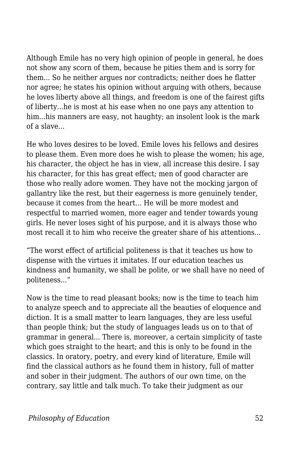Although Emile has no very high opinion of people in general, he does not show any scorn of them, because he pities them and is sorry for them... So he neither argues nor contradicts; neither does he flatter nor agree; he states his opinion without arguing with others, because he loves liberty above all things, and freedom is one of the fairest gifts of liberty...he is most at his ease when no one pays any attention to him...his manners are easy, not haughty; an insolent look is the mark of a slave...

He who loves desires to be loved. Emile loves his fellows and desires to please them. Even more does he wish to please the women; his age, his character, the object he has in view, all increase this desire. I say his character, for this has great effect; men of good character are those who really adore women. They have not the mocking jargon of gallantry like the rest, but their eagerness is more genuinely tender, because it comes from the heart... He will be more modest and respectful to married women, more eager and tender towards young girls. He never loses sight of his purpose, and it is always those who most recall it to him who receive the greater share of his attentions...

"The worst effect of artificial politeness is that it teaches us how to dispense with the virtues it imitates. If our education teaches us kindness and humanity, we shall be polite, or we shall have no need of politeness..."

Now is the time to read pleasant books; now is the time to teach him to analyze speech and to appreciate all the beauties of eloquence and diction. It is a small matter to learn languages, they are less useful than people think; but the study of languages leads us on to that of grammar in general... There is, moreover, a certain simplicity of taste which goes straight to the heart; and this is only to be found in the classics. In oratory, poetry, and every kind of literature, Emile will find the classical authors as he found them in history, full of matter and sober in their judgment. The authors of our own time, on the contrary, say little and talk much. To take their judgment as our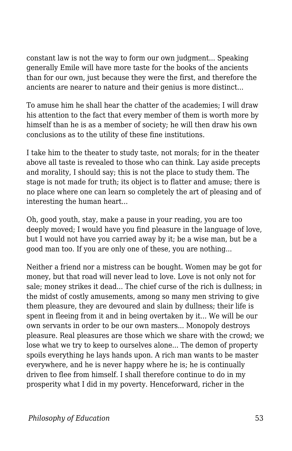constant law is not the way to form our own judgment... Speaking generally Emile will have more taste for the books of the ancients than for our own, just because they were the first, and therefore the ancients are nearer to nature and their genius is more distinct...

To amuse him he shall hear the chatter of the academies; I will draw his attention to the fact that every member of them is worth more by himself than he is as a member of society; he will then draw his own conclusions as to the utility of these fine institutions.

I take him to the theater to study taste, not morals; for in the theater above all taste is revealed to those who can think. Lay aside precepts and morality, I should say; this is not the place to study them. The stage is not made for truth; its object is to flatter and amuse; there is no place where one can learn so completely the art of pleasing and of interesting the human heart...

Oh, good youth, stay, make a pause in your reading, you are too deeply moved; I would have you find pleasure in the language of love, but I would not have you carried away by it; be a wise man, but be a good man too. If you are only one of these, you are nothing...

Neither a friend nor a mistress can be bought. Women may be got for money, but that road will never lead to love. Love is not only not for sale; money strikes it dead... The chief curse of the rich is dullness; in the midst of costly amusements, among so many men striving to give them pleasure, they are devoured and slain by dullness; their life is spent in fleeing from it and in being overtaken by it... We will be our own servants in order to be our own masters... Monopoly destroys pleasure. Real pleasures are those which we share with the crowd; we lose what we try to keep to ourselves alone... The demon of property spoils everything he lays hands upon. A rich man wants to be master everywhere, and he is never happy where he is; he is continually driven to flee from himself. I shall therefore continue to do in my prosperity what I did in my poverty. Henceforward, richer in the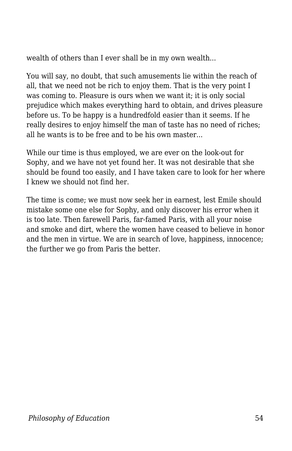wealth of others than I ever shall be in my own wealth...

You will say, no doubt, that such amusements lie within the reach of all, that we need not be rich to enjoy them. That is the very point I was coming to. Pleasure is ours when we want it; it is only social prejudice which makes everything hard to obtain, and drives pleasure before us. To be happy is a hundredfold easier than it seems. If he really desires to enjoy himself the man of taste has no need of riches; all he wants is to be free and to be his own master...

While our time is thus employed, we are ever on the look-out for Sophy, and we have not yet found her. It was not desirable that she should be found too easily, and I have taken care to look for her where I knew we should not find her.

The time is come; we must now seek her in earnest, lest Emile should mistake some one else for Sophy, and only discover his error when it is too late. Then farewell Paris, far-famed Paris, with all your noise and smoke and dirt, where the women have ceased to believe in honor and the men in virtue. We are in search of love, happiness, innocence; the further we go from Paris the better.